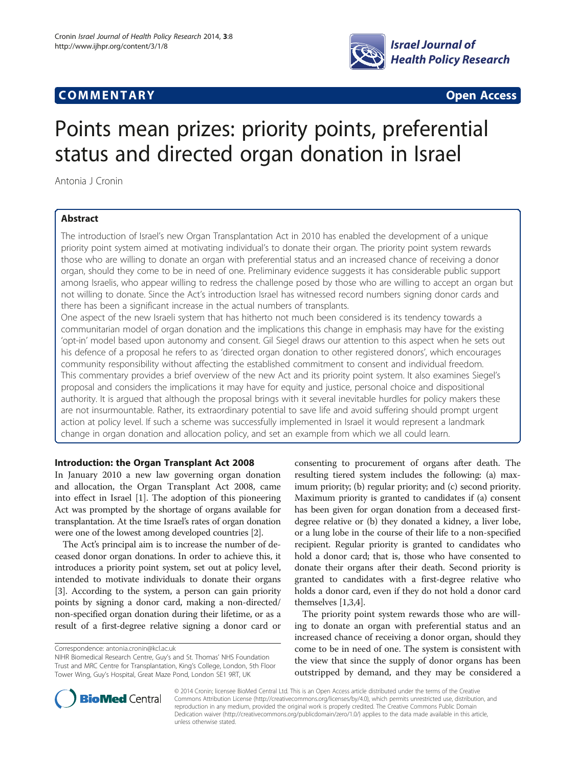## **COMMENTARY COMMENTARY Open Access**



# Points mean prizes: priority points, preferential status and directed organ donation in Israel

Antonia J Cronin

## Abstract

The introduction of Israel's new Organ Transplantation Act in 2010 has enabled the development of a unique priority point system aimed at motivating individual's to donate their organ. The priority point system rewards those who are willing to donate an organ with preferential status and an increased chance of receiving a donor organ, should they come to be in need of one. Preliminary evidence suggests it has considerable public support among Israelis, who appear willing to redress the challenge posed by those who are willing to accept an organ but not willing to donate. Since the Act's introduction Israel has witnessed record numbers signing donor cards and there has been a significant increase in the actual numbers of transplants.

One aspect of the new Israeli system that has hitherto not much been considered is its tendency towards a communitarian model of organ donation and the implications this change in emphasis may have for the existing 'opt-in' model based upon autonomy and consent. Gil Siegel draws our attention to this aspect when he sets out his defence of a proposal he refers to as 'directed organ donation to other registered donors', which encourages community responsibility without affecting the established commitment to consent and individual freedom. This commentary provides a brief overview of the new Act and its priority point system. It also examines Siegel's proposal and considers the implications it may have for equity and justice, personal choice and dispositional authority. It is argued that although the proposal brings with it several inevitable hurdles for policy makers these are not insurmountable. Rather, its extraordinary potential to save life and avoid suffering should prompt urgent action at policy level. If such a scheme was successfully implemented in Israel it would represent a landmark change in organ donation and allocation policy, and set an example from which we all could learn.

## Introduction: the Organ Transplant Act 2008

In January 2010 a new law governing organ donation and allocation, the Organ Transplant Act 2008, came into effect in Israel [\[1](#page-2-0)]. The adoption of this pioneering Act was prompted by the shortage of organs available for transplantation. At the time Israel's rates of organ donation were one of the lowest among developed countries [\[2](#page-3-0)].

The Act's principal aim is to increase the number of deceased donor organ donations. In order to achieve this, it introduces a priority point system, set out at policy level, intended to motivate individuals to donate their organs [[3\]](#page-3-0). According to the system, a person can gain priority points by signing a donor card, making a non-directed/ non-specified organ donation during their lifetime, or as a result of a first-degree relative signing a donor card or

NIHR Biomedical Research Centre, Guy's and St. Thomas' NHS Foundation Trust and MRC Centre for Transplantation, King's College, London, 5th Floor Tower Wing, Guy's Hospital, Great Maze Pond, London SE1 9RT, UK

consenting to procurement of organs after death. The resulting tiered system includes the following: (a) maximum priority; (b) regular priority; and (c) second priority. Maximum priority is granted to candidates if (a) consent has been given for organ donation from a deceased firstdegree relative or (b) they donated a kidney, a liver lobe, or a lung lobe in the course of their life to a non-specified recipient. Regular priority is granted to candidates who hold a donor card; that is, those who have consented to donate their organs after their death. Second priority is granted to candidates with a first-degree relative who holds a donor card, even if they do not hold a donor card themselves [\[1](#page-2-0)[,3,4\]](#page-3-0).

The priority point system rewards those who are willing to donate an organ with preferential status and an increased chance of receiving a donor organ, should they come to be in need of one. The system is consistent with the view that since the supply of donor organs has been outstripped by demand, and they may be considered a



© 2014 Cronin; licensee BioMed Central Ltd. This is an Open Access article distributed under the terms of the Creative Commons Attribution License [\(http://creativecommons.org/licenses/by/4.0\)](http://creativecommons.org/licenses/by/4.0), which permits unrestricted use, distribution, and reproduction in any medium, provided the original work is properly credited. The Creative Commons Public Domain Dedication waiver [\(http://creativecommons.org/publicdomain/zero/1.0/](http://creativecommons.org/publicdomain/zero/1.0/)) applies to the data made available in this article, unless otherwise stated.

Correspondence: [antonia.cronin@kcl.ac.uk](mailto:antonia.cronin@kcl.ac.uk)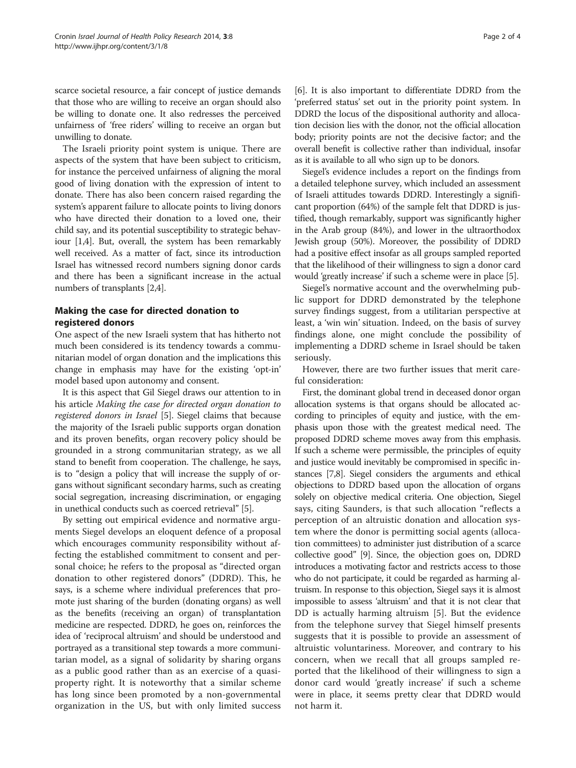scarce societal resource, a fair concept of justice demands that those who are willing to receive an organ should also be willing to donate one. It also redresses the perceived unfairness of 'free riders' willing to receive an organ but unwilling to donate.

The Israeli priority point system is unique. There are aspects of the system that have been subject to criticism, for instance the perceived unfairness of aligning the moral good of living donation with the expression of intent to donate. There has also been concern raised regarding the system's apparent failure to allocate points to living donors who have directed their donation to a loved one, their child say, and its potential susceptibility to strategic behaviour [[1](#page-2-0)[,4](#page-3-0)]. But, overall, the system has been remarkably well received. As a matter of fact, since its introduction Israel has witnessed record numbers signing donor cards and there has been a significant increase in the actual numbers of transplants [[2,4\]](#page-3-0).

## Making the case for directed donation to registered donors

One aspect of the new Israeli system that has hitherto not much been considered is its tendency towards a communitarian model of organ donation and the implications this change in emphasis may have for the existing 'opt-in' model based upon autonomy and consent.

It is this aspect that Gil Siegel draws our attention to in his article Making the case for directed organ donation to registered donors in Israel [\[5](#page-3-0)]. Siegel claims that because the majority of the Israeli public supports organ donation and its proven benefits, organ recovery policy should be grounded in a strong communitarian strategy, as we all stand to benefit from cooperation. The challenge, he says, is to "design a policy that will increase the supply of organs without significant secondary harms, such as creating social segregation, increasing discrimination, or engaging in unethical conducts such as coerced retrieval" [[5](#page-3-0)].

By setting out empirical evidence and normative arguments Siegel develops an eloquent defence of a proposal which encourages community responsibility without affecting the established commitment to consent and personal choice; he refers to the proposal as "directed organ donation to other registered donors" (DDRD). This, he says, is a scheme where individual preferences that promote just sharing of the burden (donating organs) as well as the benefits (receiving an organ) of transplantation medicine are respected. DDRD, he goes on, reinforces the idea of 'reciprocal altruism' and should be understood and portrayed as a transitional step towards a more communitarian model, as a signal of solidarity by sharing organs as a public good rather than as an exercise of a quasiproperty right. It is noteworthy that a similar scheme has long since been promoted by a non-governmental organization in the US, but with only limited success

[[6\]](#page-3-0). It is also important to differentiate DDRD from the 'preferred status' set out in the priority point system. In DDRD the locus of the dispositional authority and allocation decision lies with the donor, not the official allocation body; priority points are not the decisive factor; and the overall benefit is collective rather than individual, insofar as it is available to all who sign up to be donors.

Siegel's evidence includes a report on the findings from a detailed telephone survey, which included an assessment of Israeli attitudes towards DDRD. Interestingly a significant proportion (64%) of the sample felt that DDRD is justified, though remarkably, support was significantly higher in the Arab group (84%), and lower in the ultraorthodox Jewish group (50%). Moreover, the possibility of DDRD had a positive effect insofar as all groups sampled reported that the likelihood of their willingness to sign a donor card would 'greatly increase' if such a scheme were in place [\[5](#page-3-0)].

Siegel's normative account and the overwhelming public support for DDRD demonstrated by the telephone survey findings suggest, from a utilitarian perspective at least, a 'win win' situation. Indeed, on the basis of survey findings alone, one might conclude the possibility of implementing a DDRD scheme in Israel should be taken seriously.

However, there are two further issues that merit careful consideration:

First, the dominant global trend in deceased donor organ allocation systems is that organs should be allocated according to principles of equity and justice, with the emphasis upon those with the greatest medical need. The proposed DDRD scheme moves away from this emphasis. If such a scheme were permissible, the principles of equity and justice would inevitably be compromised in specific instances [[7,8](#page-3-0)]. Siegel considers the arguments and ethical objections to DDRD based upon the allocation of organs solely on objective medical criteria. One objection, Siegel says, citing Saunders, is that such allocation "reflects a perception of an altruistic donation and allocation system where the donor is permitting social agents (allocation committees) to administer just distribution of a scarce collective good" [[9](#page-3-0)]. Since, the objection goes on, DDRD introduces a motivating factor and restricts access to those who do not participate, it could be regarded as harming altruism. In response to this objection, Siegel says it is almost impossible to assess 'altruism' and that it is not clear that DD is actually harming altruism [[5](#page-3-0)]. But the evidence from the telephone survey that Siegel himself presents suggests that it is possible to provide an assessment of altruistic voluntariness. Moreover, and contrary to his concern, when we recall that all groups sampled reported that the likelihood of their willingness to sign a donor card would 'greatly increase' if such a scheme were in place, it seems pretty clear that DDRD would not harm it.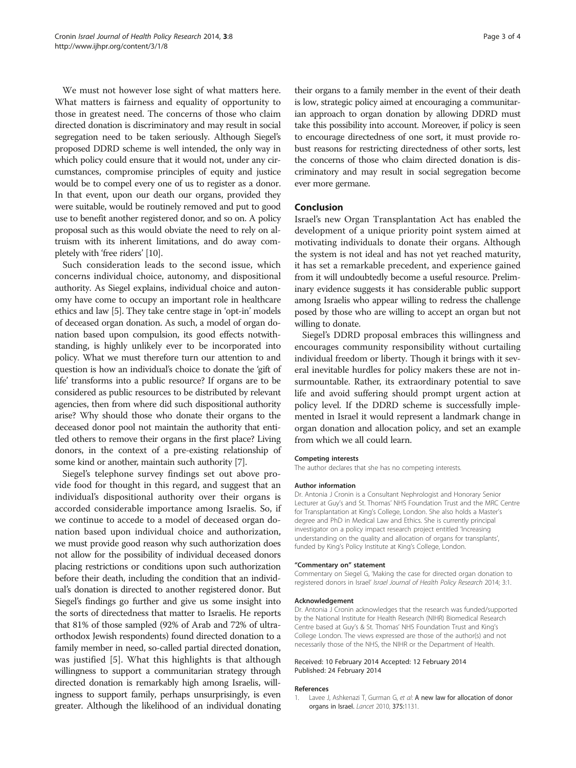<span id="page-2-0"></span>We must not however lose sight of what matters here. What matters is fairness and equality of opportunity to those in greatest need. The concerns of those who claim directed donation is discriminatory and may result in social segregation need to be taken seriously. Although Siegel's proposed DDRD scheme is well intended, the only way in which policy could ensure that it would not, under any circumstances, compromise principles of equity and justice would be to compel every one of us to register as a donor. In that event, upon our death our organs, provided they were suitable, would be routinely removed and put to good use to benefit another registered donor, and so on. A policy proposal such as this would obviate the need to rely on altruism with its inherent limitations, and do away completely with 'free riders' [[10](#page-3-0)].

Such consideration leads to the second issue, which concerns individual choice, autonomy, and dispositional authority. As Siegel explains, individual choice and autonomy have come to occupy an important role in healthcare ethics and law [\[5\]](#page-3-0). They take centre stage in 'opt-in' models of deceased organ donation. As such, a model of organ donation based upon compulsion, its good effects notwithstanding, is highly unlikely ever to be incorporated into policy. What we must therefore turn our attention to and question is how an individual's choice to donate the 'gift of life' transforms into a public resource? If organs are to be considered as public resources to be distributed by relevant agencies, then from where did such dispositional authority arise? Why should those who donate their organs to the deceased donor pool not maintain the authority that entitled others to remove their organs in the first place? Living donors, in the context of a pre-existing relationship of some kind or another, maintain such authority [[7](#page-3-0)].

Siegel's telephone survey findings set out above provide food for thought in this regard, and suggest that an individual's dispositional authority over their organs is accorded considerable importance among Israelis. So, if we continue to accede to a model of deceased organ donation based upon individual choice and authorization, we must provide good reason why such authorization does not allow for the possibility of individual deceased donors placing restrictions or conditions upon such authorization before their death, including the condition that an individual's donation is directed to another registered donor. But Siegel's findings go further and give us some insight into the sorts of directedness that matter to Israelis. He reports that 81% of those sampled (92% of Arab and 72% of ultraorthodox Jewish respondents) found directed donation to a family member in need, so-called partial directed donation, was justified [[5\]](#page-3-0). What this highlights is that although willingness to support a communitarian strategy through directed donation is remarkably high among Israelis, willingness to support family, perhaps unsurprisingly, is even greater. Although the likelihood of an individual donating their organs to a family member in the event of their death is low, strategic policy aimed at encouraging a communitarian approach to organ donation by allowing DDRD must take this possibility into account. Moreover, if policy is seen to encourage directedness of one sort, it must provide robust reasons for restricting directedness of other sorts, lest the concerns of those who claim directed donation is discriminatory and may result in social segregation become ever more germane.

## Conclusion

Israel's new Organ Transplantation Act has enabled the development of a unique priority point system aimed at motivating individuals to donate their organs. Although the system is not ideal and has not yet reached maturity, it has set a remarkable precedent, and experience gained from it will undoubtedly become a useful resource. Preliminary evidence suggests it has considerable public support among Israelis who appear willing to redress the challenge posed by those who are willing to accept an organ but not willing to donate.

Siegel's DDRD proposal embraces this willingness and encourages community responsibility without curtailing individual freedom or liberty. Though it brings with it several inevitable hurdles for policy makers these are not insurmountable. Rather, its extraordinary potential to save life and avoid suffering should prompt urgent action at policy level. If the DDRD scheme is successfully implemented in Israel it would represent a landmark change in organ donation and allocation policy, and set an example from which we all could learn.

#### Competing interests

The author declares that she has no competing interests.

#### Author information

Dr. Antonia J Cronin is a Consultant Nephrologist and Honorary Senior Lecturer at Guy's and St. Thomas' NHS Foundation Trust and the MRC Centre for Transplantation at King's College, London. She also holds a Master's degree and PhD in Medical Law and Ethics. She is currently principal investigator on a policy impact research project entitled 'Increasing understanding on the quality and allocation of organs for transplants', funded by King's Policy Institute at King's College, London.

#### "Commentary on" statement

Commentary on Siegel G, 'Making the case for directed organ donation to registered donors in Israel' Israel Journal of Health Policy Research 2014; 3:1.

#### Acknowledgement

Dr. Antonia J Cronin acknowledges that the research was funded/supported by the National Institute for Health Research (NIHR) Biomedical Research Centre based at Guy's & St. Thomas' NHS Foundation Trust and King's College London. The views expressed are those of the author(s) and not necessarily those of the NHS, the NIHR or the Department of Health.

#### Received: 10 February 2014 Accepted: 12 February 2014 Published: 24 February 2014

#### References

1. Lavee J, Ashkenazi T, Gurman G, et al: A new law for allocation of donor organs in Israel. Lancet 2010, 375:1131.